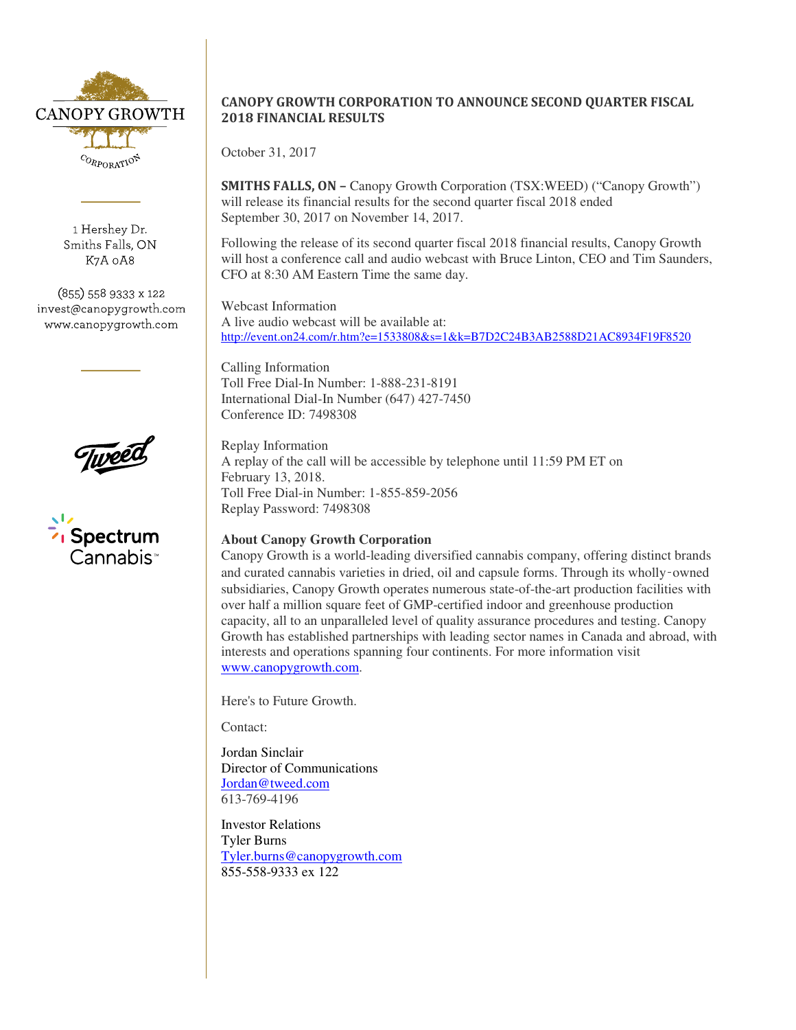

1 Hershey Dr. Smiths Falls, ON K7A 0A8

(855) 558 9333 x 122 invest@canopygrowth.com www.canopygrowth.com



## Spectrum Cannabis

## CANOPY GROWTH CORPORATION TO ANNOUNCE SECOND QUARTER FISCAL 2018 FINANCIAL RESULTS

October 31, 2017

SMITHS FALLS, ON – Canopy Growth Corporation (TSX:WEED) ("Canopy Growth") will release its financial results for the second quarter fiscal 2018 ended September 30, 2017 on November 14, 2017.

Following the release of its second quarter fiscal 2018 financial results, Canopy Growth will host a conference call and audio webcast with Bruce Linton, CEO and Tim Saunders, CFO at 8:30 AM Eastern Time the same day.

Webcast Information A live audio webcast will be available at: http://event.on24.com/r.htm?e=1533808&s=1&k=B7D2C24B3AB2588D21AC8934F19F8520

Calling Information Toll Free Dial-In Number: 1-888-231-8191 International Dial-In Number (647) 427-7450 Conference ID: 7498308

Replay Information A replay of the call will be accessible by telephone until 11:59 PM ET on February 13, 2018. Toll Free Dial-in Number: 1-855-859-2056 Replay Password: 7498308

## **About Canopy Growth Corporation**

Canopy Growth is a world-leading diversified cannabis company, offering distinct brands and curated cannabis varieties in dried, oil and capsule forms. Through its wholly‑owned subsidiaries, Canopy Growth operates numerous state-of-the-art production facilities with over half a million square feet of GMP-certified indoor and greenhouse production capacity, all to an unparalleled level of quality assurance procedures and testing. Canopy Growth has established partnerships with leading sector names in Canada and abroad, with interests and operations spanning four continents. For more information visit www.canopygrowth.com.

Here's to Future Growth.

Contact:

Jordan Sinclair Director of Communications Jordan@tweed.com 613-769-4196

Investor Relations Tyler Burns Tyler.burns@canopygrowth.com 855-558-9333 ex 122